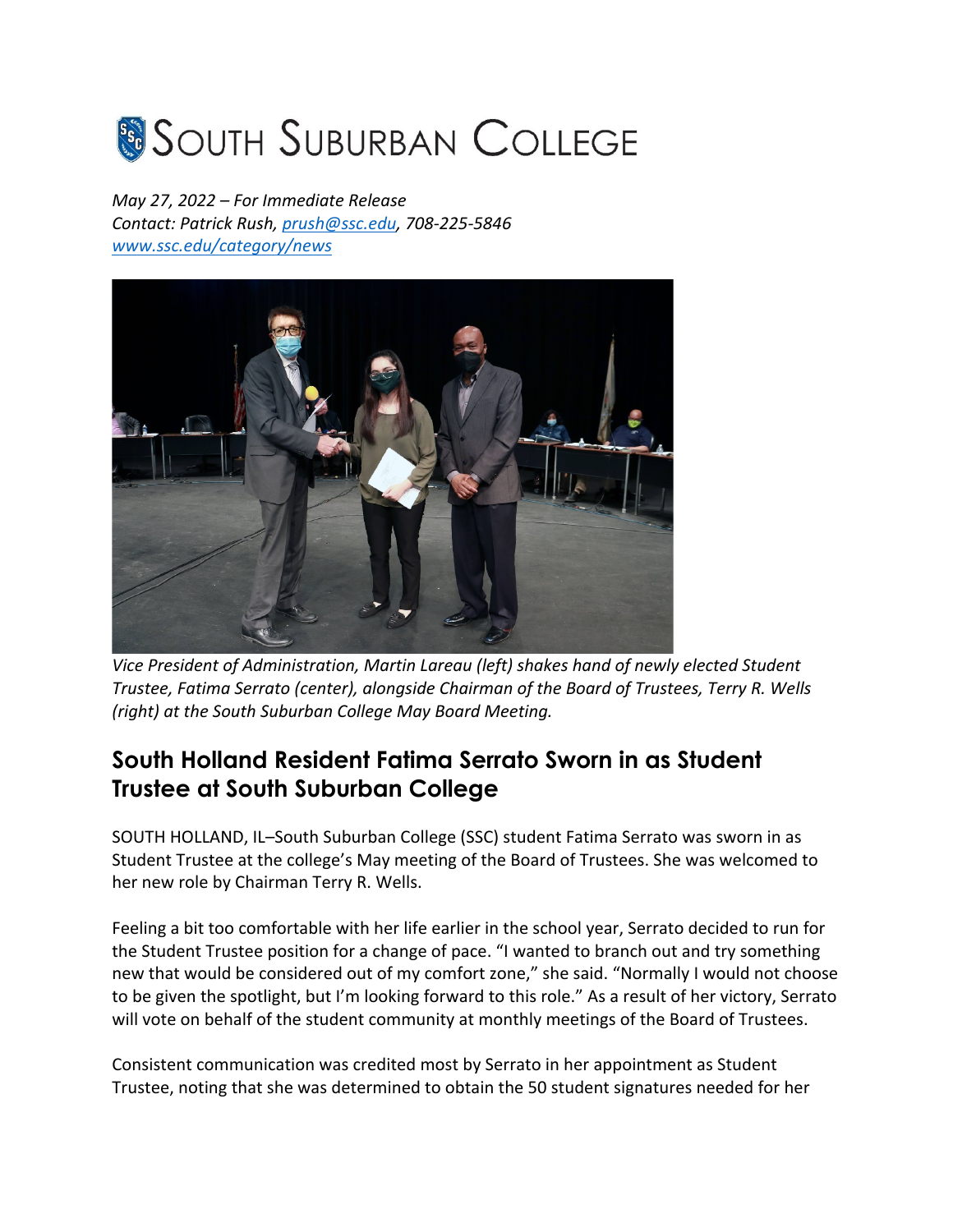## **SOUTH SUBURBAN COLLEGE**

*May 27, 2022 – For Immediate Release Contact: Patrick Rush, prush@ssc.edu, 708-225-5846 www.ssc.edu/category/news*



*Vice President of Administration, Martin Lareau (left) shakes hand of newly elected Student Trustee, Fatima Serrato (center), alongside Chairman of the Board of Trustees, Terry R. Wells (right) at the South Suburban College May Board Meeting.* 

## **South Holland Resident Fatima Serrato Sworn in as Student Trustee at South Suburban College**

SOUTH HOLLAND, IL–South Suburban College (SSC) student Fatima Serrato was sworn in as Student Trustee at the college's May meeting of the Board of Trustees. She was welcomed to her new role by Chairman Terry R. Wells.

Feeling a bit too comfortable with her life earlier in the school year, Serrato decided to run for the Student Trustee position for a change of pace. "I wanted to branch out and try something new that would be considered out of my comfort zone," she said. "Normally I would not choose to be given the spotlight, but I'm looking forward to this role." As a result of her victory, Serrato will vote on behalf of the student community at monthly meetings of the Board of Trustees.

Consistent communication was credited most by Serrato in her appointment as Student Trustee, noting that she was determined to obtain the 50 student signatures needed for her